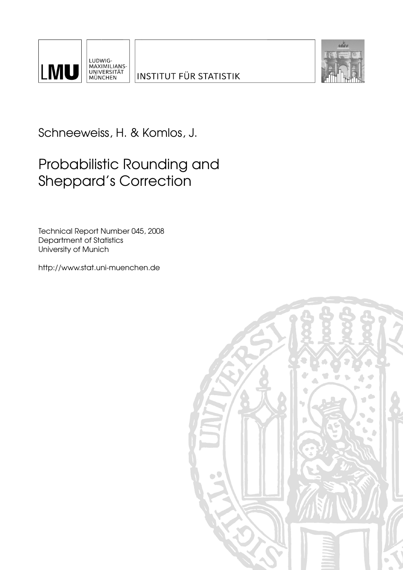



Schneeweiss, H. & Komlos, J.

# Probabilistic Rounding and Sheppard's Correction

Technical Report Number 045, 2008 Department of Statistics University of Munich

[http://www.stat.uni-muenchen.de](http://www.stat.uni-muenchen.de/)

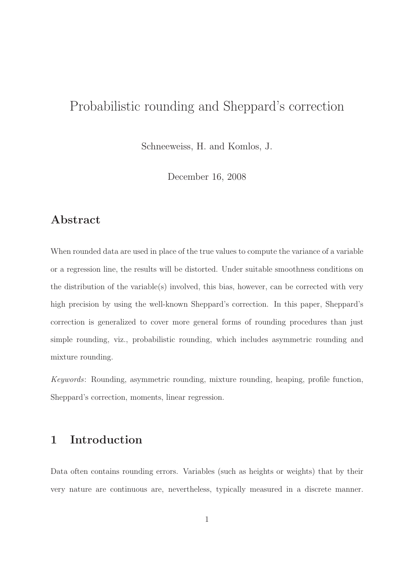# Probabilistic rounding and Sheppard's correction

Schneeweiss, H. and Komlos, J.

December 16, 2008

### Abstract

When rounded data are used in place of the true values to compute the variance of a variable or a regression line, the results will be distorted. Under suitable smoothness conditions on the distribution of the variable(s) involved, this bias, however, can be corrected with very high precision by using the well-known Sheppard's correction. In this paper, Sheppard's correction is generalized to cover more general forms of rounding procedures than just simple rounding, viz., probabilistic rounding, which includes asymmetric rounding and mixture rounding.

*Keywords*: Rounding, asymmetric rounding, mixture rounding, heaping, profile function, Sheppard's correction, moments, linear regression.

### 1 Introduction

Data often contains rounding errors. Variables (such as heights or weights) that by their very nature are continuous are, nevertheless, typically measured in a discrete manner.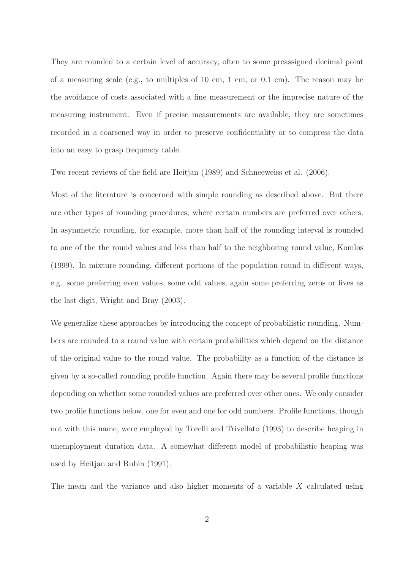They are rounded to a certain level of accuracy, often to some preassigned decimal point of a measuring scale (e.g., to multiples of 10 cm, 1 cm, or 0.1 cm). The reason may be the avoidance of costs associated with a fine measurement or the imprecise nature of the measuring instrument. Even if precise measurements are available, they are sometimes recorded in a coarsened way in order to preserve confidentiality or to compress the data into an easy to grasp frequency table.

Two recent reviews of the field are Heitjan (1989) and Schneeweiss et al. (2006).

Most of the literature is concerned with simple rounding as described above. But there are other types of rounding procedures, where certain numbers are preferred over others. In asymmetric rounding, for example, more than half of the rounding interval is rounded to one of the the round values and less than half to the neighboring round value, Komlos (1999). In mixture rounding, different portions of the population round in different ways, e.g. some preferring even values, some odd values, again some preferring zeros or fives as the last digit, Wright and Bray (2003).

We generalize these approaches by introducing the concept of probabilistic rounding. Numbers are rounded to a round value with certain probabilities which depend on the distance of the original value to the round value. The probability as a function of the distance is given by a so-called rounding profile function. Again there may be several profile functions depending on whether some rounded values are preferred over other ones. We only consider two profile functions below, one for even and one for odd numbers. Profile functions, though not with this name, were employed by Torelli and Trivellato (1993) to describe heaping in unemployment duration data. A somewhat different model of probabilistic heaping was used by Heitjan and Rubin (1991).

The mean and the variance and also higher moments of a variable X calculated using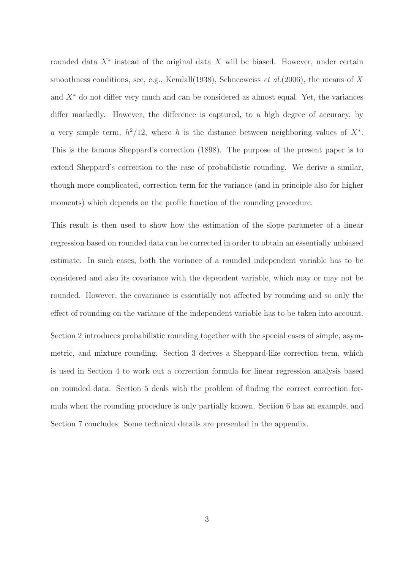rounded data  $X^*$  instead of the original data X will be biased. However, under certain smoothness conditions, see, e.g., Kendall(1938), Schneeweiss *et al.*(2006), the means of X and  $X^*$  do not differ very much and can be considered as almost equal. Yet, the variances differ markedly. However, the difference is captured, to a high degree of accuracy, by a very simple term,  $h^2/12$ , where h is the distance between neighboring values of  $X^*$ . This is the famous Sheppard's correction (1898). The purpose of the present paper is to extend Sheppard's correction to the case of probabilistic rounding. We derive a similar, though more complicated, correction term for the variance (and in principle also for higher moments) which depends on the profile function of the rounding procedure.

This result is then used to show how the estimation of the slope parameter of a linear regression based on rounded data can be corrected in order to obtain an essentially unbiased estimate. In such cases, both the variance of a rounded independent variable has to be considered and also its covariance with the dependent variable, which may or may not be rounded. However, the covariance is essentially not affected by rounding and so only the effect of rounding on the variance of the independent variable has to be taken into account.

Section 2 introduces probabilistic rounding together with the special cases of simple, asymmetric, and mixture rounding. Section 3 derives a Sheppard-like correction term, which is used in Section 4 to work out a correction formula for linear regression analysis based on rounded data. Section 5 deals with the problem of finding the correct correction formula when the rounding procedure is only partially known. Section 6 has an example, and Section 7 concludes. Some technical details are presented in the appendix.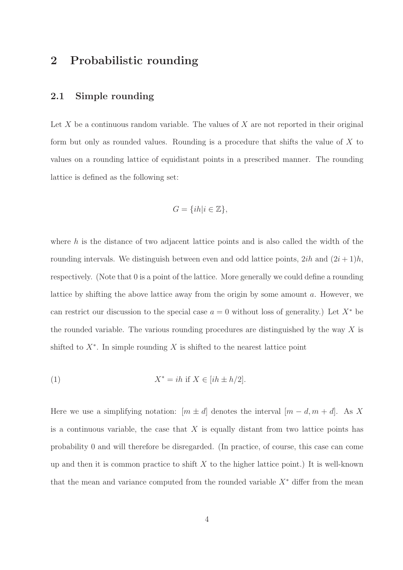### 2 Probabilistic rounding

#### 2.1 Simple rounding

Let X be a continuous random variable. The values of X are not reported in their original form but only as rounded values. Rounding is a procedure that shifts the value of X to values on a rounding lattice of equidistant points in a prescribed manner. The rounding lattice is defined as the following set:

$$
G = \{ih|i \in \mathbb{Z}\},\
$$

where h is the distance of two adjacent lattice points and is also called the width of the rounding intervals. We distinguish between even and odd lattice points,  $2ih$  and  $(2i+1)h$ , respectively. (Note that 0 is a point of the lattice. More generally we could define a rounding lattice by shifting the above lattice away from the origin by some amount  $a$ . However, we can restrict our discussion to the special case  $a = 0$  without loss of generality.) Let  $X^*$  be the rounded variable. The various rounding procedures are distinguished by the way  $X$  is shifted to  $X^*$ . In simple rounding X is shifted to the nearest lattice point

(1) 
$$
X^* = ih \text{ if } X \in [ih \pm h/2].
$$

Here we use a simplifying notation:  $[m \pm d]$  denotes the interval  $[m - d, m + d]$ . As X is a continuous variable, the case that  $X$  is equally distant from two lattice points has probability 0 and will therefore be disregarded. (In practice, of course, this case can come up and then it is common practice to shift  $X$  to the higher lattice point.) It is well-known that the mean and variance computed from the rounded variable  $X^*$  differ from the mean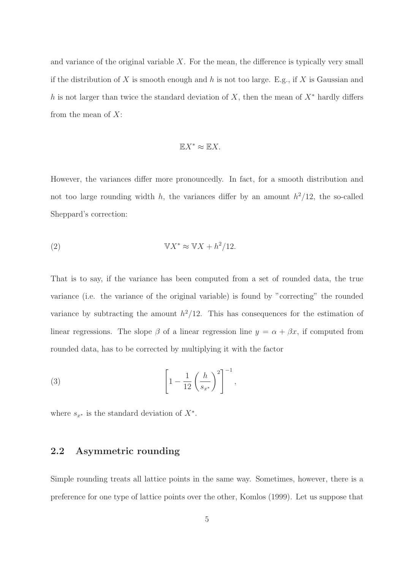and variance of the original variable  $X$ . For the mean, the difference is typically very small if the distribution of X is smooth enough and h is not too large. E.g., if X is Gaussian and h is not larger than twice the standard deviation of X, then the mean of  $X^*$  hardly differs from the mean of  $X$ :

$$
\mathbb{E}X^* \approx \mathbb{E}X.
$$

However, the variances differ more pronouncedly. In fact, for a smooth distribution and not too large rounding width h, the variances differ by an amount  $h^2/12$ , the so-called Sheppard's correction:

VX <sup>∗</sup> ≈ VX + h 2 (2) /12.

That is to say, if the variance has been computed from a set of rounded data, the true variance (i.e. the variance of the original variable) is found by "correcting" the rounded variance by subtracting the amount  $h^2/12$ . This has consequences for the estimation of linear regressions. The slope  $\beta$  of a linear regression line  $y = \alpha + \beta x$ , if computed from rounded data, has to be corrected by multiplying it with the factor

(3) 
$$
\left[1 - \frac{1}{12} \left(\frac{h}{s_{x^*}}\right)^2\right]^{-1},
$$

where  $s_{x^*}$  is the standard deviation of  $X^*$ .

#### 2.2 Asymmetric rounding

Simple rounding treats all lattice points in the same way. Sometimes, however, there is a preference for one type of lattice points over the other, Komlos (1999). Let us suppose that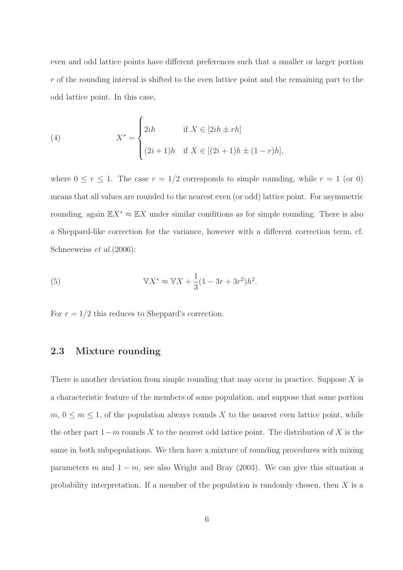even and odd lattice points have different preferences such that a smaller or larger portion  $r$  of the rounding interval is shifted to the even lattice point and the remaining part to the odd lattice point. In this case,

(4) 
$$
X^* = \begin{cases} 2ih & \text{if } X \in [2ih \pm rh] \\ (2i+1)h & \text{if } X \in [(2i+1)h \pm (1-r)h], \end{cases}
$$

where  $0 \le r \le 1$ . The case  $r = 1/2$  corresponds to simple rounding, while  $r = 1$  (or 0) means that all values are rounded to the nearest even (or odd) lattice point. For asymmetric rounding, again  $\mathbb{E}X^* \approx \mathbb{E}X$  under similar conditions as for simple rounding. There is also a Sheppard-like correction for the variance, however with a different correction term, cf. Schneeweiss *et al.*(2006):

(5) 
$$
\mathbb{V}X^* \approx \mathbb{V}X + \frac{1}{3}(1 - 3r + 3r^2)h^2.
$$

For  $r = 1/2$  this reduces to Sheppard's correction.

#### 2.3 Mixture rounding

There is another deviation from simple rounding that may occur in practice. Suppose X is a characteristic feature of the members of some population, and suppose that some portion  $m, 0 \leq m \leq 1$ , of the population always rounds X to the nearest even lattice point, while the other part  $1-m$  rounds X to the nearest odd lattice point. The distribution of X is the same in both subpopulations. We then have a mixture of rounding procedures with mixing parameters m and  $1 - m$ , see also Wright and Bray (2003). We can give this situation a probability interpretation. If a member of the population is randomly chosen, then  $X$  is a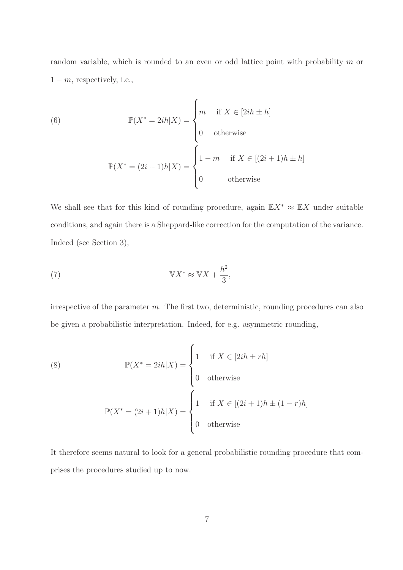random variable, which is rounded to an even or odd lattice point with probability m or  $1 - m$ , respectively, i.e.,

(6)  
\n
$$
\mathbb{P}(X^* = 2ih|X) = \begin{cases}\nm & \text{if } X \in [2ih \pm h] \\
0 & \text{otherwise}\n\end{cases}
$$
\n
$$
\mathbb{P}(X^* = (2i+1)h|X) = \begin{cases}\n1 - m & \text{if } X \in [(2i+1)h \pm h] \\
0 & \text{otherwise}\n\end{cases}
$$

We shall see that for this kind of rounding procedure, again  $\mathbb{E}X^* \approx \mathbb{E}X$  under suitable conditions, and again there is a Sheppard-like correction for the computation of the variance. Indeed (see Section 3),

(7) 
$$
\mathbb{V}X^* \approx \mathbb{V}X + \frac{h^2}{3},
$$

irrespective of the parameter m. The first two, deterministic, rounding procedures can also be given a probabilistic interpretation. Indeed, for e.g. asymmetric rounding,

(8) 
$$
\mathbb{P}(X^* = 2ih|X) = \begin{cases} 1 & \text{if } X \in [2ih \pm rh] \\ 0 & \text{otherwise} \end{cases}
$$

$$
\mathbb{P}(X^* = (2i+1)h|X) = \begin{cases} 1 & \text{if } X \in [(2i+1)h \pm (1-r)h] \\ 0 & \text{otherwise} \end{cases}
$$

It therefore seems natural to look for a general probabilistic rounding procedure that comprises the procedures studied up to now.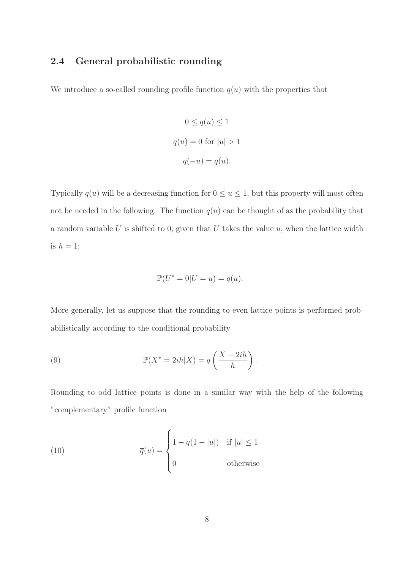#### 2.4 General probabilistic rounding

We introduce a so-called rounding profile function  $q(u)$  with the properties that

$$
0 \le q(u) \le 1
$$
  

$$
q(u) = 0 \text{ for } |u| > 1
$$
  

$$
q(-u) = q(u).
$$

Typically  $q(u)$  will be a decreasing function for  $0 \le u \le 1$ , but this property will most often not be needed in the following. The function  $q(u)$  can be thought of as the probability that a random variable  $U$  is shifted to 0, given that  $U$  takes the value  $u$ , when the lattice width is  $h = 1$ :

$$
\mathbb{P}(U^* = 0 | U = u) = q(u).
$$

More generally, let us suppose that the rounding to even lattice points is performed probabilistically according to the conditional probability

(9) 
$$
\mathbb{P}(X^* = 2ih|X) = q\left(\frac{X - 2ih}{h}\right).
$$

Rounding to odd lattice points is done in a similar way with the help of the following "complementary" profile function

(10) 
$$
\overline{q}(u) = \begin{cases} 1 - q(1 - |u|) & \text{if } |u| \le 1 \\ 0 & \text{otherwise} \end{cases}
$$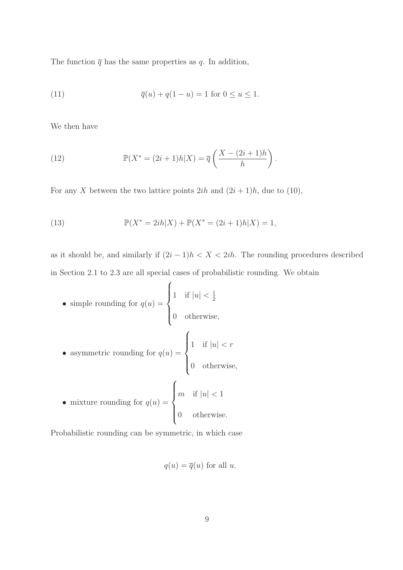The function  $\bar{q}$  has the same properties as q. In addition,

(11) 
$$
\overline{q}(u) + q(1 - u) = 1 \text{ for } 0 \le u \le 1.
$$

We then have

(12) 
$$
\mathbb{P}(X^* = (2i+1)h|X) = \overline{q}\left(\frac{X - (2i+1)h}{h}\right).
$$

For any X between the two lattice points  $2ih$  and  $(2i + 1)h$ , due to (10),

(13) 
$$
\mathbb{P}(X^* = 2ih|X) + \mathbb{P}(X^* = (2i+1)h|X) = 1,
$$

as it should be, and similarly if  $(2i - 1)h < X < 2ih$ . The rounding procedures described in Section 2.1 to 2.3 are all special cases of probabilistic rounding. We obtain

\n- simple rounding for 
$$
q(u) = \begin{cases} 1 & \text{if } |u| < \frac{1}{2} \\ 0 & \text{otherwise,} \end{cases}
$$
\n- asymmetric rounding for  $q(u) = \begin{cases} 1 & \text{if } |u| < r \\ 0 & \text{otherwise,} \end{cases}$
\n- mixture rounding for  $q(u) = \begin{cases} m & \text{if } |u| < 1 \\ 0 & \text{otherwise.} \end{cases}$
\n

Probabilistic rounding can be symmetric, in which case

$$
q(u) = \overline{q}(u)
$$
 for all u.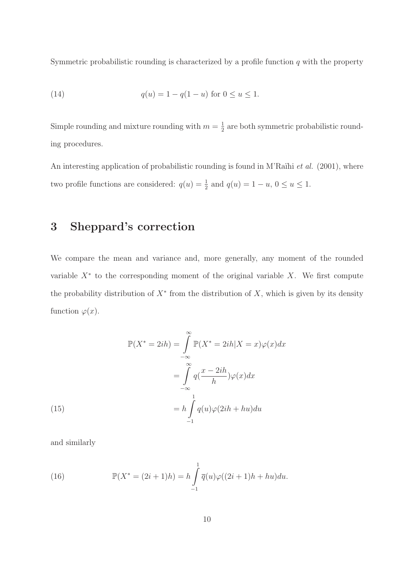Symmetric probabilistic rounding is characterized by a profile function  $q$  with the property

(14) 
$$
q(u) = 1 - q(1 - u) \text{ for } 0 \le u \le 1.
$$

Simple rounding and mixture rounding with  $m=\frac{1}{2}$  $\frac{1}{2}$  are both symmetric probabilistic rounding procedures.

An interesting application of probabilistic rounding is found in M'Raïhi *et al.* (2001), where two profile functions are considered:  $q(u) = \frac{1}{2}$  and  $q(u) = 1 - u$ ,  $0 \le u \le 1$ .

### 3 Sheppard's correction

We compare the mean and variance and, more generally, any moment of the rounded variable  $X^*$  to the corresponding moment of the original variable X. We first compute the probability distribution of  $X^*$  from the distribution of X, which is given by its density function  $\varphi(x)$ .

(15)  
\n
$$
\mathbb{P}(X^* = 2ih) = \int_{-\infty}^{\infty} \mathbb{P}(X^* = 2ih|X = x)\varphi(x)dx
$$
\n
$$
= \int_{-\infty}^{\infty} q(\frac{x - 2ih}{h})\varphi(x)dx
$$
\n
$$
= h \int_{-1}^{1} q(u)\varphi(2ih + hu)du
$$

and similarly

(16) 
$$
\mathbb{P}(X^* = (2i+1)h) = h \int_{-1}^{1} \overline{q}(u)\varphi((2i+1)h + hu)du.
$$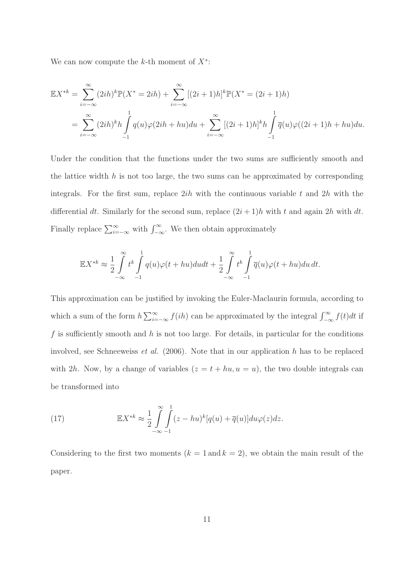We can now compute the  $k$ -th moment of  $X^*$ :

$$
\mathbb{E}X^{*k} = \sum_{i=-\infty}^{\infty} (2ih)^k \mathbb{P}(X^* = 2ih) + \sum_{i=-\infty}^{\infty} [(2i+1)h]^k \mathbb{P}(X^* = (2i+1)h)
$$
  
= 
$$
\sum_{i=-\infty}^{\infty} (2ih)^k h \int_{-1}^{1} q(u)\varphi(2ih + hu)du + \sum_{i=-\infty}^{\infty} [(2i+1)h]^k h \int_{-1}^{1} \overline{q}(u)\varphi((2i+1)h + hu)du.
$$

Under the condition that the functions under the two sums are sufficiently smooth and the lattice width  $h$  is not too large, the two sums can be approximated by corresponding integrals. For the first sum, replace  $2ih$  with the continuous variable t and  $2h$  with the differential dt. Similarly for the second sum, replace  $(2i+1)h$  with t and again 2h with dt. Finally replace  $\sum_{i=-\infty}^{\infty}$  with  $\int_{-\infty}^{\infty}$ . We then obtain approximately

$$
\mathbb{E}X^{*k} \approx \frac{1}{2} \int_{-\infty}^{\infty} t^k \int_{-1}^1 q(u)\varphi(t+hu)du dt + \frac{1}{2} \int_{-\infty}^{\infty} t^k \int_{-1}^1 \overline{q}(u)\varphi(t+hu)du dt.
$$

This approximation can be justified by invoking the Euler-Maclaurin formula, according to which a sum of the form  $h \sum_{i=-\infty}^{\infty} f(ih)$  can be approximated by the integral  $\int_{-\infty}^{\infty} f(t)dt$  if f is sufficiently smooth and  $h$  is not too large. For details, in particular for the conditions involved, see Schneeweiss *et al.* (2006). Note that in our application h has to be replaced with 2h. Now, by a change of variables  $(z = t + hu, u = u)$ , the two double integrals can be transformed into

(17) 
$$
\mathbb{E}X^{*k} \approx \frac{1}{2} \int_{-\infty}^{\infty} \int_{-1}^{1} (z - hu)^k [q(u) + \overline{q}(u)] du \varphi(z) dz.
$$

Considering to the first two moments  $(k = 1 \text{ and } k = 2)$ , we obtain the main result of the paper.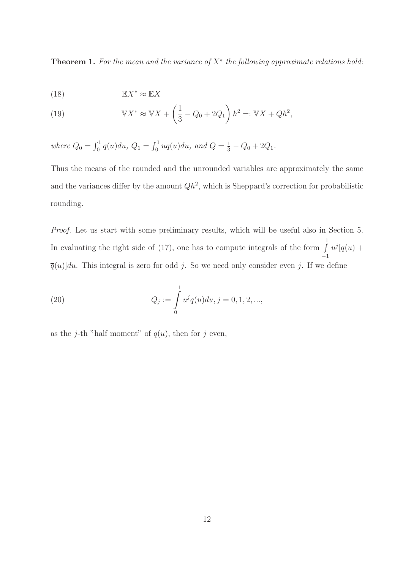**Theorem 1.** For the mean and the variance of  $X^*$  the following approximate relations hold:

EX ∗ (18) ≈ EX

(19) 
$$
\mathbb{V}X^* \approx \mathbb{V}X + \left(\frac{1}{3} - Q_0 + 2Q_1\right)h^2 =: \mathbb{V}X + Qh^2,
$$

where 
$$
Q_0 = \int_0^1 q(u) du
$$
,  $Q_1 = \int_0^1 uq(u) du$ , and  $Q = \frac{1}{3} - Q_0 + 2Q_1$ .

Thus the means of the rounded and the unrounded variables are approximately the same and the variances differ by the amount  $Qh^2$ , which is Sheppard's correction for probabilistic rounding.

*Proof.* Let us start with some preliminary results, which will be useful also in Section 5. In evaluating the right side of  $(17)$ , one has to compute integrals of the form  $\int$ 1  $-1$  $u^j[q(u)] +$  $\overline{q}(u)$ du. This integral is zero for odd j. So we need only consider even j. If we define

(20) 
$$
Q_j := \int_0^1 u^j q(u) du, j = 0, 1, 2, ...,
$$

as the j-th "half moment" of  $q(u)$ , then for j even,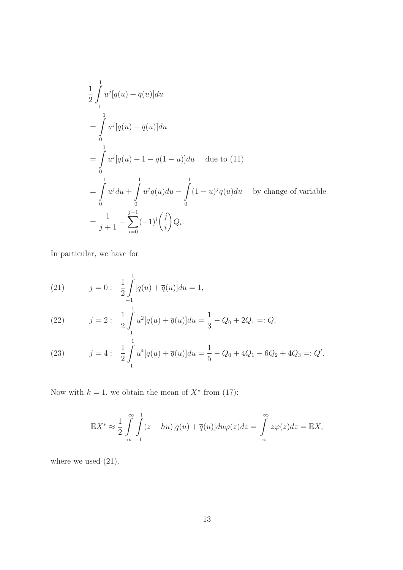$$
\frac{1}{2} \int_{-1}^{1} u^{j} [q(u) + \overline{q}(u)] du
$$
\n  
\n
$$
= \int_{0}^{1} u^{j} [q(u) + \overline{q}(u)] du
$$
\n  
\n
$$
= \int_{0}^{1} u^{j} [q(u) + 1 - q(1 - u)] du \text{ due to (11)}
$$
\n  
\n
$$
= \int_{0}^{1} u^{j} du + \int_{0}^{1} u^{j} q(u) du - \int_{0}^{1} (1 - u)^{j} q(u) du \text{ by change of variable}
$$
\n  
\n
$$
= \frac{1}{j+1} - \sum_{i=0}^{j-1} (-1)^{i} {j \choose i} Q_{i}.
$$

In particular, we have for

(21) 
$$
j = 0: \frac{1}{2} \int_{-1}^{1} [q(u) + \overline{q}(u)] du = 1,
$$

(22) 
$$
j = 2: \frac{1}{2} \int_{-1}^{1} u^2 [q(u) + \overline{q}(u)] du = \frac{1}{3} - Q_0 + 2Q_1 =: Q,
$$

(23) 
$$
j = 4: \frac{1}{2} \int_{-1}^{1} u^4 [q(u) + \overline{q}(u)] du = \frac{1}{5} - Q_0 + 4Q_1 - 6Q_2 + 4Q_3 =: Q'.
$$

Now with  $k = 1$ , we obtain the mean of  $X^*$  from (17):

$$
\mathbb{E}X^* \approx \frac{1}{2} \int_{-\infty}^{\infty} \int_{-1}^{1} (z - hu)[q(u) + \overline{q}(u)] du \varphi(z) dz = \int_{-\infty}^{\infty} z \varphi(z) dz = \mathbb{E}X,
$$

where we used  $(21)$ .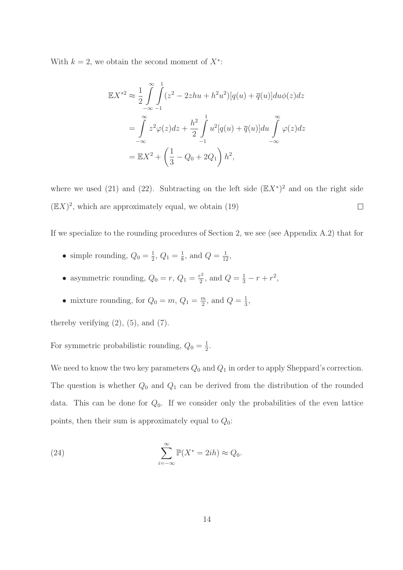With  $k = 2$ , we obtain the second moment of  $X^*$ :

$$
\mathbb{E}X^{*2} \approx \frac{1}{2} \int_{-\infty}^{\infty} \int_{-1}^{1} (z^2 - 2zhu + h^2u^2)[q(u) + \overline{q}(u)]du\phi(z)dz
$$
  
= 
$$
\int_{-\infty}^{\infty} z^2 \varphi(z)dz + \frac{h^2}{2} \int_{-1}^{1} u^2[q(u) + \overline{q}(u)]du \int_{-\infty}^{\infty} \varphi(z)dz
$$
  
= 
$$
\mathbb{E}X^2 + \left(\frac{1}{3} - Q_0 + 2Q_1\right)h^2,
$$

where we used (21) and (22). Subtracting on the left side  $(\mathbb{E}X^*)^2$  and on the right side  $(\mathbb{E} X)^2$ , which are approximately equal, we obtain (19)  $\Box$ 

If we specialize to the rounding procedures of Section 2, we see (see Appendix A.2) that for

- simple rounding,  $Q_0 = \frac{1}{2}$  $\frac{1}{2}$ ,  $Q_1 = \frac{1}{8}$  $\frac{1}{8}$ , and  $Q = \frac{1}{12}$ ,
- asymmetric rounding,  $Q_0 = r$ ,  $Q_1 = \frac{r^2}{2}$  $\frac{r^2}{2}$ , and  $Q = \frac{1}{3} - r + r^2$ ,
- mixture rounding, for  $Q_0 = m$ ,  $Q_1 = \frac{m}{2}$  $\frac{m}{2}$ , and  $Q = \frac{1}{3}$  $\frac{1}{3}$ ,

thereby verifying  $(2)$ ,  $(5)$ , and  $(7)$ .

For symmetric probabilistic rounding,  $Q_0 = \frac{1}{2}$  $rac{1}{2}$ .

We need to know the two key parameters  $Q_0$  and  $Q_1$  in order to apply Sheppard's correction. The question is whether  $Q_0$  and  $Q_1$  can be derived from the distribution of the rounded data. This can be done for  $Q_0$ . If we consider only the probabilities of the even lattice points, then their sum is approximately equal to  $Q_0$ :

(24) 
$$
\sum_{i=-\infty}^{\infty} \mathbb{P}(X^* = 2ih) \approx Q_0.
$$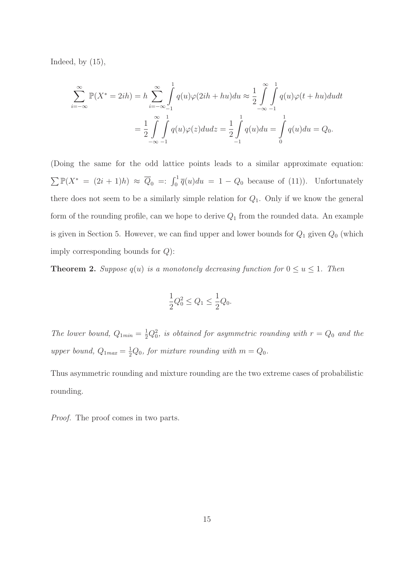Indeed, by  $(15)$ ,

$$
\sum_{i=-\infty}^{\infty} \mathbb{P}(X^* = 2ih) = h \sum_{i=-\infty}^{\infty} \int_{-1}^{1} q(u)\varphi(2ih + hu)du \approx \frac{1}{2} \int_{-\infty}^{\infty} \int_{-1}^{1} q(u)\varphi(t + hu)du dt
$$

$$
= \frac{1}{2} \int_{-\infty}^{\infty} \int_{-1}^{1} q(u)\varphi(z)du dz = \frac{1}{2} \int_{-1}^{1} q(u)du = \int_{0}^{1} q(u)du = Q_0.
$$

(Doing the same for the odd lattice points leads to a similar approximate equation:  $\sum \mathbb{P}(X^* = (2i + 1)h) \approx \overline{Q}_0 =: \int_0^1 \overline{q}(u)du = 1 - Q_0$  because of (11)). Unfortunately there does not seem to be a similarly simple relation for  $Q_1$ . Only if we know the general form of the rounding profile, can we hope to derive  $Q_1$  from the rounded data. An example is given in Section 5. However, we can find upper and lower bounds for  $Q_1$  given  $Q_0$  (which imply corresponding bounds for  $Q$ ):

**Theorem 2.** *Suppose*  $q(u)$  *is a monotonely decreasing function for*  $0 \le u \le 1$ *. Then* 

$$
\frac{1}{2}Q_0^2 \le Q_1 \le \frac{1}{2}Q_0.
$$

The lower bound,  $Q_{1min} = \frac{1}{2}Q_0^2$ , is obtained for asymmetric rounding with  $r = Q_0$  and the upper bound,  $Q_{1max} = \frac{1}{2}Q_0$ , for mixture rounding with  $m = Q_0$ .

Thus asymmetric rounding and mixture rounding are the two extreme cases of probabilistic rounding.

*Proof.* The proof comes in two parts.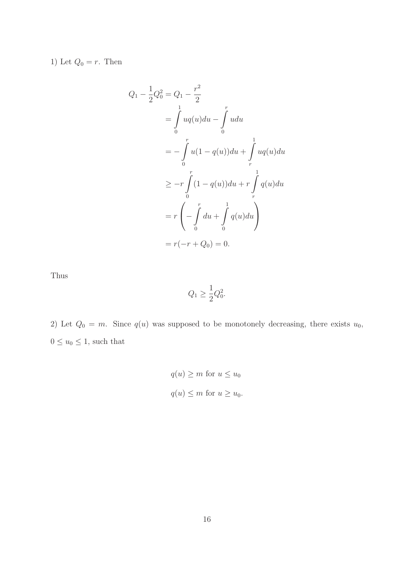1) Let  $Q_0 = r$ . Then

$$
Q_1 - \frac{1}{2}Q_0^2 = Q_1 - \frac{r^2}{2}
$$
  
=  $\int_0^r uq(u)du - \int_0^r udu$   
=  $-\int_0^r u(1 - q(u))du + \int_r^1 uq(u)du$   
 $\geq -r \int_0^r (1 - q(u))du + r \int_r^1 q(u)du$   
=  $r \left( -\int_0^r du + \int_0^1 q(u)du \right)$   
=  $r(-r + Q_0) = 0.$ 

Thus

$$
Q_1 \ge \frac{1}{2}Q_0^2.
$$

2) Let  $Q_0 = m$ . Since  $q(u)$  was supposed to be monotonely decreasing, there exists  $u_0$ ,  $0 \le u_0 \le 1$ , such that

$$
q(u) \ge m \text{ for } u \le u_0
$$
  

$$
q(u) \le m \text{ for } u \ge u_0.
$$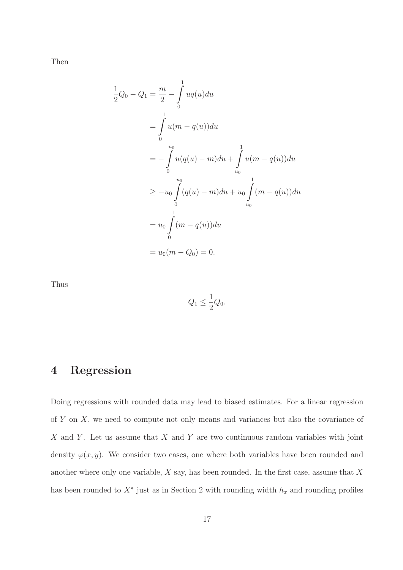Then

$$
\frac{1}{2}Q_0 - Q_1 = \frac{m}{2} - \int_0^1 uq(u)du
$$
  
= 
$$
\int_0^1 u(m - q(u))du
$$
  
= 
$$
-\int_0^{u_0} u(q(u) - m)du + \int_{u_0}^1 u(m - q(u))du
$$
  

$$
\ge -u_0 \int_0^{u_0} (q(u) - m)du + u_0 \int_{u_0}^1 (m - q(u))du
$$
  
= 
$$
u_0 \int_0^1 (m - q(u))du
$$
  
= 
$$
u_0(m - Q_0) = 0.
$$

Thus

$$
Q_1 \leq \frac{1}{2}Q_0.
$$

## 4 Regression

Doing regressions with rounded data may lead to biased estimates. For a linear regression of Y on X, we need to compute not only means and variances but also the covariance of  $X$  and  $Y$ . Let us assume that  $X$  and  $Y$  are two continuous random variables with joint density  $\varphi(x, y)$ . We consider two cases, one where both variables have been rounded and another where only one variable,  $X$  say, has been rounded. In the first case, assume that  $X$ has been rounded to  $X^*$  just as in Section 2 with rounding width  $h_x$  and rounding profiles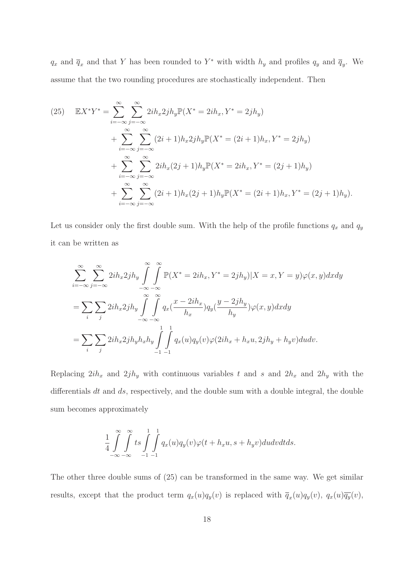$q_x$  and  $\overline{q}_x$  and that Y has been rounded to Y<sup>\*</sup> with width  $h_y$  and profiles  $q_y$  and  $\overline{q}_y$ . We assume that the two rounding procedures are stochastically independent. Then

(25) 
$$
\mathbb{E}X^*Y^* = \sum_{i=-\infty}^{\infty} \sum_{j=-\infty}^{\infty} 2ih_x 2jh_y \mathbb{P}(X^* = 2ih_x, Y^* = 2jh_y) + \sum_{i=-\infty}^{\infty} \sum_{j=-\infty}^{\infty} (2i+1)h_x 2jh_y \mathbb{P}(X^* = (2i+1)h_x, Y^* = 2jh_y) + \sum_{i=-\infty}^{\infty} \sum_{j=-\infty}^{\infty} 2ih_x (2j+1)h_y \mathbb{P}(X^* = 2ih_x, Y^* = (2j+1)h_y) + \sum_{i=-\infty}^{\infty} \sum_{j=-\infty}^{\infty} (2i+1)h_x (2j+1)h_y \mathbb{P}(X^* = (2i+1)h_x, Y^* = (2j+1)h_y).
$$

Let us consider only the first double sum. With the help of the profile functions  $q_x$  and  $q_y$ it can be written as

$$
\sum_{i=-\infty}^{\infty} \sum_{j=-\infty}^{\infty} 2ih_x 2jh_y \int_{-\infty}^{\infty} \int_{-\infty}^{\infty} \mathbb{P}(X^* = 2ih_x, Y^* = 2jh_y)|X = x, Y = y)\varphi(x, y)dxdy
$$
  
= 
$$
\sum_{i} \sum_{j} 2ih_x 2jh_y \int_{-\infty}^{\infty} \int_{-\infty}^{\infty} q_x (\frac{x - 2ih_x}{h_x}) q_y (\frac{y - 2jh_y}{h_y})\varphi(x, y)dxdy
$$
  
= 
$$
\sum_{i} \sum_{j} 2ih_x 2jh_y h_x h_y \int_{-1}^{1} \int_{-1}^{1} q_x(u) q_y(v)\varphi(2ih_x + h_x u, 2jh_y + h_y v)dudv.
$$

Replacing  $2ih_x$  and  $2jh_y$  with continuous variables t and s and  $2h_x$  and  $2h_y$  with the differentials dt and ds, respectively, and the double sum with a double integral, the double sum becomes approximately

$$
\frac{1}{4} \int_{-\infty}^{\infty} \int_{-\infty}^{\infty} \int_{-1}^{1} \int_{-1}^{1} q_x(u) q_y(v) \varphi(t + h_x u, s + h_y v) du dv dt ds.
$$

The other three double sums of (25) can be transformed in the same way. We get similar results, except that the product term  $q_x(u)q_y(v)$  is replaced with  $\overline{q}_x(u)q_y(v)$ ,  $q_x(u)\overline{q_y}(v)$ ,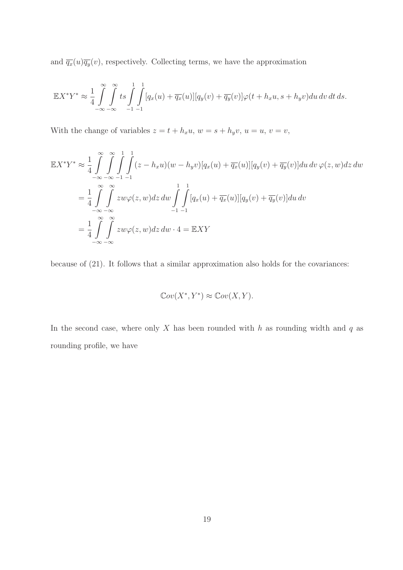and  $\overline{q_x}(u)\overline{q_y}(v)$ , respectively. Collecting terms, we have the approximation

$$
\mathbb{E}X^*Y^* \approx \frac{1}{4} \int_{-\infty}^{\infty} \int_{-\infty}^{\infty} \int_{-1}^{1} \int_{-1}^{1} [q_x(u) + \overline{q_x}(u)][q_y(v) + \overline{q_y}(v)] \varphi(t + h_x u, s + h_y v) du dv dt ds.
$$

With the change of variables  $z = t + h_x u$ ,  $w = s + h_y v$ ,  $u = u$ ,  $v = v$ ,

$$
\mathbb{E}X^*Y^* \approx \frac{1}{4} \int_{-\infty}^{\infty} \int_{-\infty}^{\infty} \int_{-1}^{1} \int_{-1}^{1} (z - h_x u)(w - h_y v)[q_x(u) + \overline{q_x}(u)][q_y(v) + \overline{q_y}(v)] du dv \varphi(z, w) dz dw
$$
  
\n
$$
= \frac{1}{4} \int_{-\infty}^{\infty} \int_{-\infty}^{\infty} z w \varphi(z, w) dz dw \int_{-1}^{1} \int_{-1}^{1} [q_x(u) + \overline{q_x}(u)][q_y(v) + \overline{q_y}(v)] du dv
$$
  
\n
$$
= \frac{1}{4} \int_{-\infty}^{\infty} \int_{-\infty}^{\infty} z w \varphi(z, w) dz dw \cdot 4 = \mathbb{E}XY
$$

because of (21). It follows that a similar approximation also holds for the covariances:

$$
\mathbb{C}ov(X^*,Y^*) \approx \mathbb{C}ov(X,Y).
$$

In the second case, where only  $X$  has been rounded with  $h$  as rounding width and  $q$  as rounding profile, we have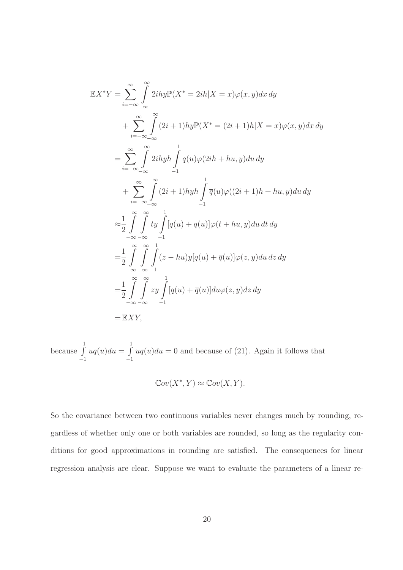$$
\mathbb{E}X^{*}Y = \sum_{i=-\infty}^{\infty} \int_{-\infty}^{\infty} 2ihy \mathbb{P}(X^{*} = 2ih|X = x)\varphi(x,y)dx dy
$$
  
+ 
$$
\sum_{i=-\infty}^{\infty} \int_{-\infty}^{\infty} (2i+1)hy \mathbb{P}(X^{*} = (2i+1)h|X = x)\varphi(x,y)dx dy
$$
  
= 
$$
\sum_{i=-\infty}^{\infty} \int_{-\infty}^{\infty} 2ihyh \int_{-1}^{1} q(u)\varphi(2ih + hu, y)du dy
$$
  
+ 
$$
\sum_{i=-\infty}^{\infty} \int_{-\infty}^{\infty} (2i+1)hyh \int_{-1}^{1} \overline{q}(u)\varphi((2i+1)h + hu, y)du dy
$$
  

$$
\approx \frac{1}{2} \int_{-\infty}^{\infty} \int_{-\infty}^{\infty} \int_{-1}^{1} [q(u) + \overline{q}(u)]\varphi(t + hu, y)du dt dy
$$
  
= 
$$
\frac{1}{2} \int_{-\infty}^{\infty} \int_{-\infty}^{\infty} \int_{-1}^{1} (z - hu)y[q(u) + \overline{q}(u)]\varphi(z, y)du dz dy
$$
  
= 
$$
\frac{1}{2} \int_{-\infty}^{\infty} \int_{-\infty}^{\infty} zy \int_{-1}^{1} [q(u) + \overline{q}(u)]du\varphi(z, y)dz dy
$$
  
= 
$$
\mathbb{E}XY,
$$

because  $\int$ 1  $-1$  $uq(u)du = \int$ 1  $-1$  $u\overline{q}(u)du = 0$  and because of (21). Again it follows that

$$
\mathbb{C}ov(X^*,Y) \approx \mathbb{C}ov(X,Y).
$$

So the covariance between two continuous variables never changes much by rounding, regardless of whether only one or both variables are rounded, so long as the regularity conditions for good approximations in rounding are satisfied. The consequences for linear regression analysis are clear. Suppose we want to evaluate the parameters of a linear re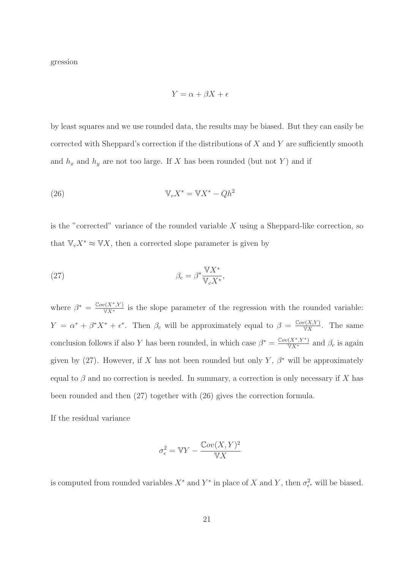gression

$$
Y = \alpha + \beta X + \epsilon
$$

by least squares and we use rounded data, the results may be biased. But they can easily be corrected with Sheppard's correction if the distributions of  $X$  and  $Y$  are sufficiently smooth and  $h_x$  and  $h_y$  are not too large. If X has been rounded (but not Y) and if

VcX <sup>∗</sup> = VX <sup>∗</sup> − Qh<sup>2</sup> (26)

is the "corrected" variance of the rounded variable  $X$  using a Sheppard-like correction, so that  $\mathbb{V}_c X^* \approx \mathbb{V} X$ , then a corrected slope parameter is given by

(27) 
$$
\beta_c = \beta^* \frac{\mathbb{V} X^*}{\mathbb{V}_c X^*},
$$

where  $\beta^* = \frac{\text{Cov}(X^*,Y)}{X^*}$  is the slope parameter of the regression with the rounded variable:  $Y = \alpha^* + \beta^* X^* + \epsilon^*$ . Then  $\beta_c$  will be approximately equal to  $\beta = \frac{\mathbb{C}ov(X,Y)}{X}$  $\frac{\partial(X,Y)}{\partial X}$ . The same conclusion follows if also Y has been rounded, in which case  $\beta^* = \frac{\mathbb{C}ov(X^*, Y^*)}{\mathbb{V}X^*}$  and  $\beta_c$  is again given by (27). However, if X has not been rounded but only Y,  $\beta^*$  will be approximately equal to  $\beta$  and no correction is needed. In summary, a correction is only necessary if X has been rounded and then (27) together with (26) gives the correction formula.

If the residual variance

$$
\sigma_{\epsilon}^2 = \mathbb{V}Y - \frac{\mathbb{C}ov(X, Y)^2}{\mathbb{V}X}
$$

is computed from rounded variables  $X^*$  and  $Y^*$  in place of X and Y, then  $\sigma_{\epsilon^*}^2$  will be biased.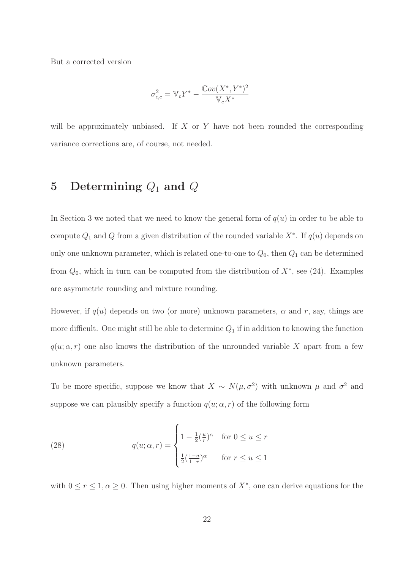But a corrected version

$$
\sigma_{\epsilon,c}^2 = \mathbb{V}_c Y^* - \frac{\mathbb{C}ov(X^*,Y^*)^2}{\mathbb{V}_c X^*}
$$

will be approximately unbiased. If  $X$  or  $Y$  have not been rounded the corresponding variance corrections are, of course, not needed.

### 5 Determining  $Q_1$  and  $Q$

In Section 3 we noted that we need to know the general form of  $q(u)$  in order to be able to compute  $Q_1$  and  $Q$  from a given distribution of the rounded variable  $X^*$ . If  $q(u)$  depends on only one unknown parameter, which is related one-to-one to  $Q_0$ , then  $Q_1$  can be determined from  $Q_0$ , which in turn can be computed from the distribution of  $X^*$ , see (24). Examples are asymmetric rounding and mixture rounding.

However, if  $q(u)$  depends on two (or more) unknown parameters,  $\alpha$  and  $r$ , say, things are more difficult. One might still be able to determine  $Q_1$  if in addition to knowing the function  $q(u; \alpha, r)$  one also knows the distribution of the unrounded variable X apart from a few unknown parameters.

To be more specific, suppose we know that  $X \sim N(\mu, \sigma^2)$  with unknown  $\mu$  and  $\sigma^2$  and suppose we can plausibly specify a function  $q(u; \alpha, r)$  of the following form

(28) 
$$
q(u; \alpha, r) = \begin{cases} 1 - \frac{1}{2} (\frac{u}{r})^{\alpha} & \text{for } 0 \le u \le r \\ \frac{1}{2} (\frac{1-u}{1-r})^{\alpha} & \text{for } r \le u \le 1 \end{cases}
$$

with  $0 \le r \le 1, \alpha \ge 0$ . Then using higher moments of  $X^*$ , one can derive equations for the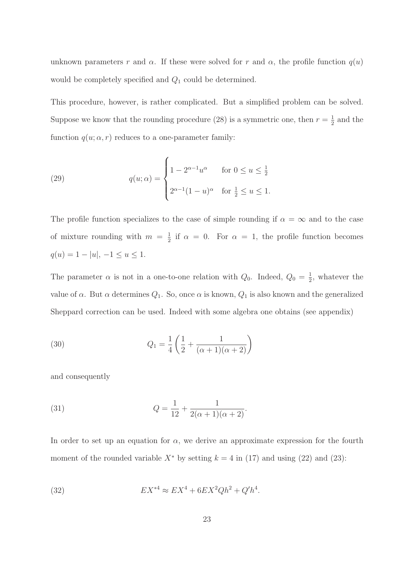unknown parameters r and  $\alpha$ . If these were solved for r and  $\alpha$ , the profile function  $q(u)$ would be completely specified and  $Q_1$  could be determined.

This procedure, however, is rather complicated. But a simplified problem can be solved. Suppose we know that the rounding procedure (28) is a symmetric one, then  $r=\frac{1}{2}$  $rac{1}{2}$  and the function  $q(u; \alpha, r)$  reduces to a one-parameter family:

(29) 
$$
q(u; \alpha) = \begin{cases} 1 - 2^{\alpha - 1} u^{\alpha} & \text{for } 0 \le u \le \frac{1}{2} \\ 2^{\alpha - 1} (1 - u)^{\alpha} & \text{for } \frac{1}{2} \le u \le 1. \end{cases}
$$

The profile function specializes to the case of simple rounding if  $\alpha = \infty$  and to the case of mixture rounding with  $m = \frac{1}{2}$  $\frac{1}{2}$  if  $\alpha = 0$ . For  $\alpha = 1$ , the profile function becomes  $q(u) = 1 - |u|, -1 \le u \le 1.$ 

The parameter  $\alpha$  is not in a one-to-one relation with  $Q_0$ . Indeed,  $Q_0 = \frac{1}{2}$  $\frac{1}{2}$ , whatever the value of  $\alpha$ . But  $\alpha$  determines  $Q_1$ . So, once  $\alpha$  is known,  $Q_1$  is also known and the generalized Sheppard correction can be used. Indeed with some algebra one obtains (see appendix)

(30) 
$$
Q_1 = \frac{1}{4} \left( \frac{1}{2} + \frac{1}{(\alpha + 1)(\alpha + 2)} \right)
$$

and consequently

(31) 
$$
Q = \frac{1}{12} + \frac{1}{2(\alpha + 1)(\alpha + 2)}.
$$

In order to set up an equation for  $\alpha$ , we derive an approximate expression for the fourth moment of the rounded variable  $X^*$  by setting  $k = 4$  in (17) and using (22) and (23):

(32) 
$$
EX^{*4} \approx EX^4 + 6EX^2Qh^2 + Q'h^4.
$$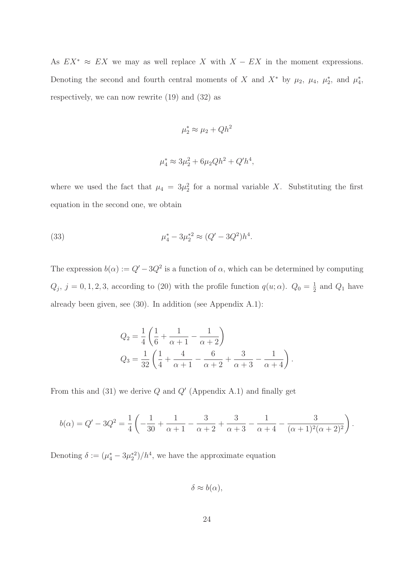As  $EX^* \approx EX$  we may as well replace X with  $X - EX$  in the moment expressions. Denoting the second and fourth central moments of X and  $X^*$  by  $\mu_2$ ,  $\mu_4$ ,  $\mu_2^*$  $x_2^*$ , and  $\mu_4^*$  $_{4}^{*}$ respectively, we can now rewrite (19) and (32) as

$$
\mu_2^* \approx \mu_2 + Q h^2
$$

$$
\mu_4^* \approx 3\mu_2^2 + 6\mu_2 Q h^2 + Q' h^4,
$$

where we used the fact that  $\mu_4 = 3\mu_2^2$  for a normal variable X. Substituting the first equation in the second one, we obtain

(33) 
$$
\mu_4^* - 3\mu_2^{*2} \approx (Q' - 3Q^2)h^4.
$$

The expression  $b(\alpha) := Q' - 3Q^2$  is a function of  $\alpha$ , which can be determined by computing  $Q_j$ ,  $j = 0, 1, 2, 3$ , according to (20) with the profile function  $q(u; \alpha)$ .  $Q_0 = \frac{1}{2}$  $\frac{1}{2}$  and  $Q_1$  have already been given, see (30). In addition (see Appendix A.1):

$$
Q_2 = \frac{1}{4} \left( \frac{1}{6} + \frac{1}{\alpha + 1} - \frac{1}{\alpha + 2} \right)
$$
  

$$
Q_3 = \frac{1}{32} \left( \frac{1}{4} + \frac{4}{\alpha + 1} - \frac{6}{\alpha + 2} + \frac{3}{\alpha + 3} - \frac{1}{\alpha + 4} \right).
$$

From this and  $(31)$  we derive Q and Q' (Appendix A.1) and finally get

$$
b(\alpha) = Q' - 3Q^2 = \frac{1}{4} \left( -\frac{1}{30} + \frac{1}{\alpha+1} - \frac{3}{\alpha+2} + \frac{3}{\alpha+3} - \frac{1}{\alpha+4} - \frac{3}{(\alpha+1)^2(\alpha+2)^2} \right).
$$

Denoting  $\delta := (\mu_4^* - 3\mu_2^{*2})/h^4$ , we have the approximate equation

$$
\delta \approx b(\alpha),
$$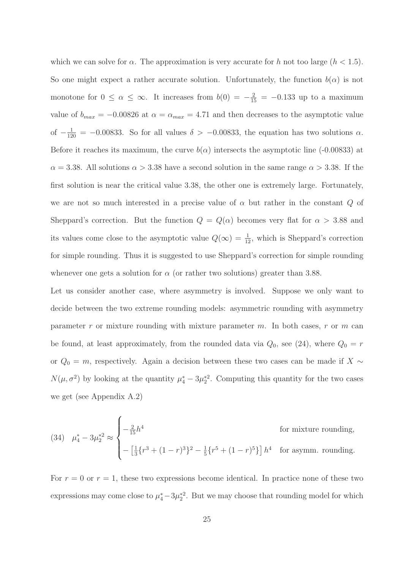which we can solve for  $\alpha$ . The approximation is very accurate for h not too large  $(h < 1.5)$ . So one might expect a rather accurate solution. Unfortunately, the function  $b(\alpha)$  is not monotone for  $0 \le \alpha \le \infty$ . It increases from  $b(0) = -\frac{2}{15} = -0.133$  up to a maximum value of  $b_{max} = -0.00826$  at  $\alpha = \alpha_{max} = 4.71$  and then decreases to the asymptotic value of  $-\frac{1}{120}$  = -0.00833. So for all values  $\delta > -0.00833$ , the equation has two solutions  $\alpha$ . Before it reaches its maximum, the curve  $b(\alpha)$  intersects the asymptotic line (-0.00833) at  $\alpha = 3.38$ . All solutions  $\alpha > 3.38$  have a second solution in the same range  $\alpha > 3.38$ . If the first solution is near the critical value 3.38, the other one is extremely large. Fortunately, we are not so much interested in a precise value of  $\alpha$  but rather in the constant Q of Sheppard's correction. But the function  $Q = Q(\alpha)$  becomes very flat for  $\alpha > 3.88$  and its values come close to the asymptotic value  $Q(\infty) = \frac{1}{12}$ , which is Sheppard's correction for simple rounding. Thus it is suggested to use Sheppard's correction for simple rounding whenever one gets a solution for  $\alpha$  (or rather two solutions) greater than 3.88.

Let us consider another case, where asymmetry is involved. Suppose we only want to decide between the two extreme rounding models: asymmetric rounding with asymmetry parameter  $r$  or mixture rounding with mixture parameter  $m$ . In both cases,  $r$  or  $m$  can be found, at least approximately, from the rounded data via  $Q_0$ , see (24), where  $Q_0 = r$ or  $Q_0 = m$ , respectively. Again a decision between these two cases can be made if X  $\sim$  $N(\mu, \sigma^2)$  by looking at the quantity  $\mu_4^* - 3\mu_2^{*2}$ . Computing this quantity for the two cases we get (see Appendix A.2)

(34) 
$$
\mu_4^* - 3\mu_2^{*2} \approx \begin{cases}\n-\frac{2}{15}h^4 & \text{for mixture rounding,} \\
-\left[\frac{1}{3}\left\{r^3 + (1-r)^3\right\}^2 - \frac{1}{5}\left\{r^5 + (1-r)^5\right\}\right]h^4 & \text{for asymm. rounding.}\n\end{cases}
$$

For  $r = 0$  or  $r = 1$ , these two expressions become identical. In practice none of these two expressions may come close to  $\mu_4^* - 3\mu_2^{*2}$ . But we may choose that rounding model for which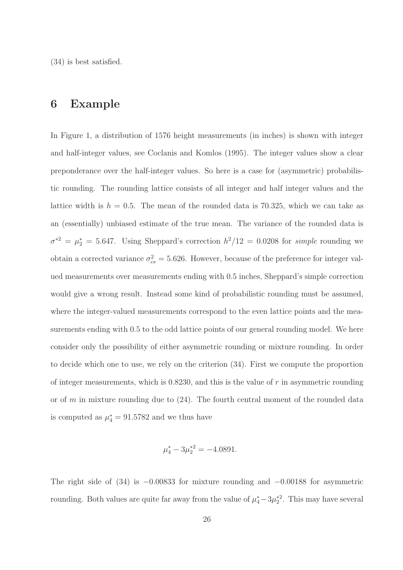(34) is best satisfied.

#### 6 Example

In Figure 1, a distribution of 1576 height measurements (in inches) is shown with integer and half-integer values, see Coclanis and Komlos (1995). The integer values show a clear preponderance over the half-integer values. So here is a case for (asymmetric) probabilistic rounding. The rounding lattice consists of all integer and half integer values and the lattice width is  $h = 0.5$ . The mean of the rounded data is 70.325, which we can take as an (essentially) unbiased estimate of the true mean. The variance of the rounded data is  $\sigma^{*2} = \mu_2^* = 5.647$ . Using Sheppard's correction  $h^2/12 = 0.0208$  for *simple* rounding we obtain a corrected variance  $\sigma_{cs}^2 = 5.626$ . However, because of the preference for integer valued measurements over measurements ending with 0.5 inches, Sheppard's simple correction would give a wrong result. Instead some kind of probabilistic rounding must be assumed, where the integer-valued measurements correspond to the even lattice points and the measurements ending with 0.5 to the odd lattice points of our general rounding model. We here consider only the possibility of either asymmetric rounding or mixture rounding. In order to decide which one to use, we rely on the criterion (34). First we compute the proportion of integer measurements, which is  $0.8230$ , and this is the value of r in asymmetric rounding or of m in mixture rounding due to  $(24)$ . The fourth central moment of the rounded data is computed as  $\mu_4^* = 91.5782$  and we thus have

$$
\mu_4^* - 3\mu_2^{*2} = -4.0891.
$$

The right side of  $(34)$  is  $-0.00833$  for mixture rounding and  $-0.00188$  for asymmetric rounding. Both values are quite far away from the value of  $\mu_4^* - 3\mu_2^{*2}$ . This may have several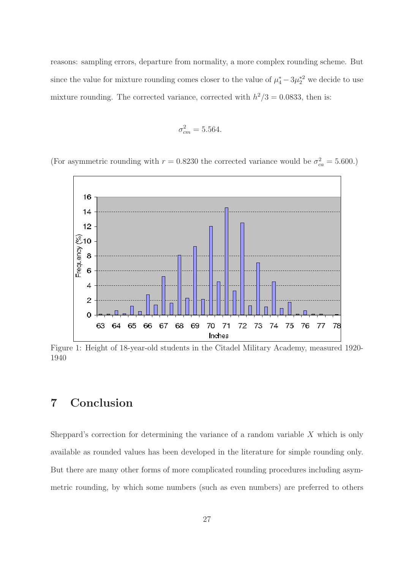reasons: sampling errors, departure from normality, a more complex rounding scheme. But since the value for mixture rounding comes closer to the value of  $\mu_4^* - 3\mu_2^{*2}$  we decide to use mixture rounding. The corrected variance, corrected with  $h^2/3 = 0.0833$ , then is:

$$
\sigma_{cm}^2 = 5.564.
$$

 $16$  $14$  $12$ Frequency (%)<br>
on co co  $\overline{\mathbf{4}}$  $\overline{2}$  $\mathbf 0$ 65  $71$ 63 64 66 67 68 69 70 72 73 74 75 76 78 77 Inches

(For asymmetric rounding with  $r = 0.8230$  the corrected variance would be  $\sigma_{ca}^2 = 5.600$ .)

Figure 1: Height of 18-year-old students in the Citadel Military Academy, measured 1920- 1940

### 7 Conclusion

Sheppard's correction for determining the variance of a random variable  $X$  which is only available as rounded values has been developed in the literature for simple rounding only. But there are many other forms of more complicated rounding procedures including asymmetric rounding, by which some numbers (such as even numbers) are preferred to others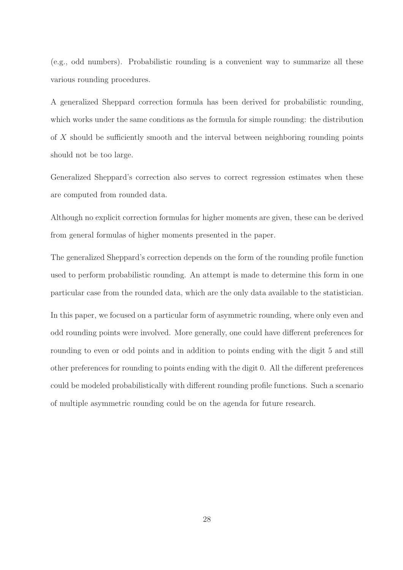(e.g., odd numbers). Probabilistic rounding is a convenient way to summarize all these various rounding procedures.

A generalized Sheppard correction formula has been derived for probabilistic rounding, which works under the same conditions as the formula for simple rounding: the distribution of X should be sufficiently smooth and the interval between neighboring rounding points should not be too large.

Generalized Sheppard's correction also serves to correct regression estimates when these are computed from rounded data.

Although no explicit correction formulas for higher moments are given, these can be derived from general formulas of higher moments presented in the paper.

The generalized Sheppard's correction depends on the form of the rounding profile function used to perform probabilistic rounding. An attempt is made to determine this form in one particular case from the rounded data, which are the only data available to the statistician.

In this paper, we focused on a particular form of asymmetric rounding, where only even and odd rounding points were involved. More generally, one could have different preferences for rounding to even or odd points and in addition to points ending with the digit 5 and still other preferences for rounding to points ending with the digit 0. All the different preferences could be modeled probabilistically with different rounding profile functions. Such a scenario of multiple asymmetric rounding could be on the agenda for future research.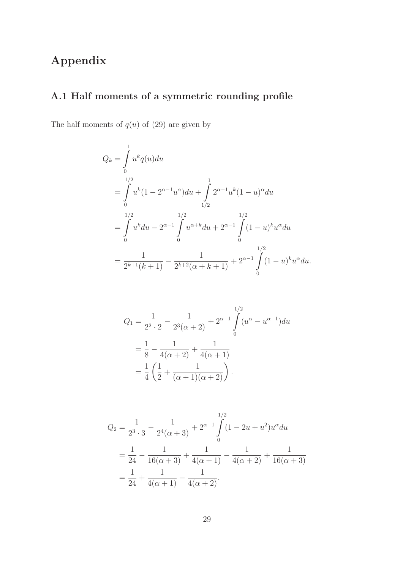# Appendix

# A.1 Half moments of a symmetric rounding profile

The half moments of  $q(u)$  of (29) are given by

$$
Q_k = \int_0^1 u^k q(u) du
$$
  
=  $\int_0^{1/2} u^k (1 - 2^{\alpha - 1} u^{\alpha}) du + \int_{1/2}^1 2^{\alpha - 1} u^k (1 - u)^{\alpha} du$   
=  $\int_0^{1/2} u^k du - 2^{\alpha - 1} \int_0^{1/2} u^{\alpha + k} du + 2^{\alpha - 1} \int_0^{1/2} (1 - u)^k u^{\alpha} du$   
=  $\frac{1}{2^{k+1}(k+1)} - \frac{1}{2^{k+2}(\alpha + k + 1)} + 2^{\alpha - 1} \int_0^{1/2} (1 - u)^k u^{\alpha} du.$ 

$$
Q_1 = \frac{1}{2^2 \cdot 2} - \frac{1}{2^3(\alpha + 2)} + 2^{\alpha - 1} \int_0^{1/2} (u^{\alpha} - u^{\alpha + 1}) du
$$
  
=  $\frac{1}{8} - \frac{1}{4(\alpha + 2)} + \frac{1}{4(\alpha + 1)}$   
=  $\frac{1}{4} \left( \frac{1}{2} + \frac{1}{(\alpha + 1)(\alpha + 2)} \right).$ 

$$
Q_2 = \frac{1}{2^3 \cdot 3} - \frac{1}{2^4(\alpha+3)} + 2^{\alpha-1} \int_0^{1/2} (1 - 2u + u^2) u^{\alpha} du
$$
  
=  $\frac{1}{24} - \frac{1}{16(\alpha+3)} + \frac{1}{4(\alpha+1)} - \frac{1}{4(\alpha+2)} + \frac{1}{16(\alpha+3)}$   
=  $\frac{1}{24} + \frac{1}{4(\alpha+1)} - \frac{1}{4(\alpha+2)}$ .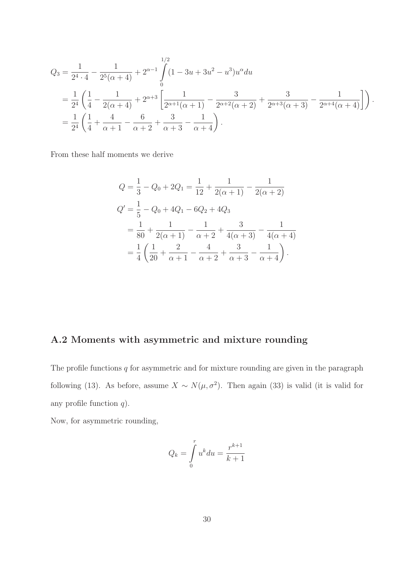$$
Q_3 = \frac{1}{2^4 \cdot 4} - \frac{1}{2^5 (\alpha + 4)} + 2^{\alpha - 1} \int_0^{1/2} (1 - 3u + 3u^2 - u^3) u^\alpha du
$$
  
=  $\frac{1}{2^4} \left( \frac{1}{4} - \frac{1}{2(\alpha + 4)} + 2^{\alpha + 3} \left[ \frac{1}{2^{\alpha + 1} (\alpha + 1)} - \frac{3}{2^{\alpha + 2} (\alpha + 2)} + \frac{3}{2^{\alpha + 3} (\alpha + 3)} - \frac{1}{2^{\alpha + 4} (\alpha + 4)} \right] \right)$ .  
=  $\frac{1}{2^4} \left( \frac{1}{4} + \frac{4}{\alpha + 1} - \frac{6}{\alpha + 2} + \frac{3}{\alpha + 3} - \frac{1}{\alpha + 4} \right)$ .

From these half moments we derive

$$
Q = \frac{1}{3} - Q_0 + 2Q_1 = \frac{1}{12} + \frac{1}{2(\alpha + 1)} - \frac{1}{2(\alpha + 2)}
$$
  
\n
$$
Q' = \frac{1}{5} - Q_0 + 4Q_1 - 6Q_2 + 4Q_3
$$
  
\n
$$
= \frac{1}{80} + \frac{1}{2(\alpha + 1)} - \frac{1}{\alpha + 2} + \frac{3}{4(\alpha + 3)} - \frac{1}{4(\alpha + 4)}
$$
  
\n
$$
= \frac{1}{4} \left( \frac{1}{20} + \frac{2}{\alpha + 1} - \frac{4}{\alpha + 2} + \frac{3}{\alpha + 3} - \frac{1}{\alpha + 4} \right).
$$

#### A.2 Moments with asymmetric and mixture rounding

The profile functions  $q$  for asymmetric and for mixture rounding are given in the paragraph following (13). As before, assume  $X \sim N(\mu, \sigma^2)$ . Then again (33) is valid (it is valid for any profile function  $q$ ).

Now, for asymmetric rounding,

$$
Q_k = \int_0^r u^k du = \frac{r^{k+1}}{k+1}
$$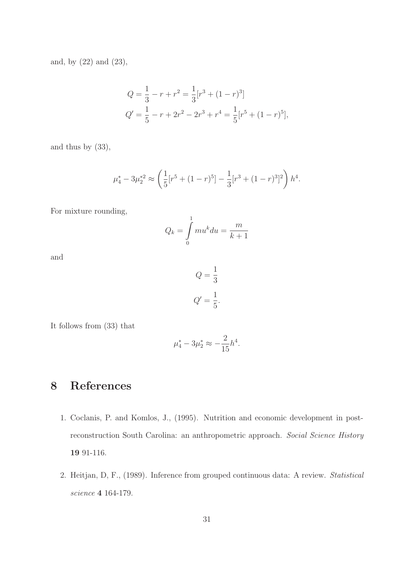and, by (22) and (23),

$$
Q = \frac{1}{3} - r + r^2 = \frac{1}{3} [r^3 + (1 - r)^3]
$$
  

$$
Q' = \frac{1}{5} - r + 2r^2 - 2r^3 + r^4 = \frac{1}{5} [r^5 + (1 - r)^5],
$$

and thus by (33),

$$
\mu_4^* - 3\mu_2^{*2} \approx \left(\frac{1}{5} [r^5 + (1-r)^5] - \frac{1}{3} [r^3 + (1-r)^3]^2\right) h^4.
$$

For mixture rounding,

$$
Q_k = \int_0^1 m u^k du = \frac{m}{k+1}
$$

and

$$
Q = \frac{1}{3}
$$

$$
Q' = \frac{1}{5}.
$$

It follows from (33) that

$$
\mu_4^* - 3\mu_2^* \approx -\frac{2}{15}h^4.
$$

## 8 References

- 1. Coclanis, P. and Komlos, J., (1995). Nutrition and economic development in postreconstruction South Carolina: an anthropometric approach. *Social Science History* 19 91-116.
- 2. Heitjan, D, F., (1989). Inference from grouped continuous data: A review. *Statistical science* 4 164-179.